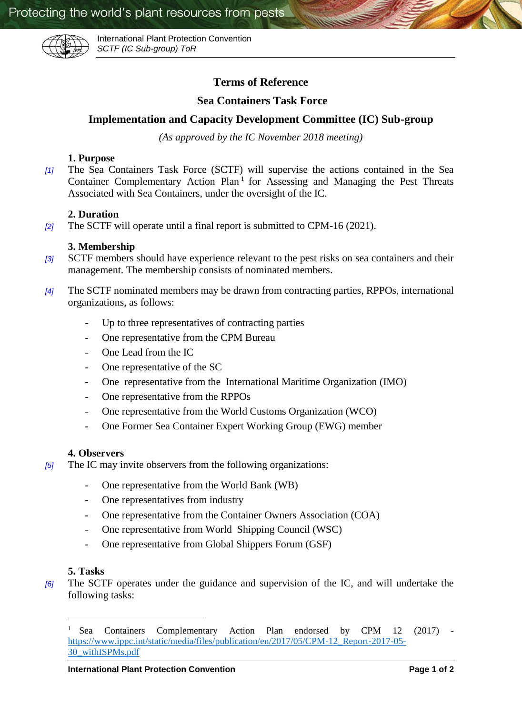

International Plant Protection Convention *SCTF (IC Sub-group) ToR*

# **Terms of Reference**

## **Sea Containers Task Force**

# **Implementation and Capacity Development Committee (IC) Sub-group**

*(As approved by the IC November 2018 meeting)*

### **1. Purpose**

*[1]* The Sea Containers Task Force (SCTF) will supervise the actions contained in the Sea Container Complementary Action Plan<sup>1</sup> for Assessing and Managing the Pest Threats Associated with Sea Containers, under the oversight of the IC.

### **2. Duration**

*[2]* The SCTF will operate until a final report is submitted to CPM-16 (2021).

### **3. Membership**

- *[3]* SCTF members should have experience relevant to the pest risks on sea containers and their management. The membership consists of nominated members.
- *[4]* The SCTF nominated members may be drawn from contracting parties, RPPOs, international organizations, as follows:
	- Up to three representatives of contracting parties
	- One representative from the CPM Bureau
	- One Lead from the IC
	- One representative of the SC
	- One representative from the International Maritime Organization (IMO)
	- One representative from the RPPOs
	- One representative from the World Customs Organization (WCO)
	- One Former Sea Container Expert Working Group (EWG) member

#### **4. Observers**

- *[5]* The IC may invite observers from the following organizations:
	- One representative from the World Bank (WB)
	- One representatives from industry
	- One representative from the Container Owners Association (COA)
	- One representative from World Shipping Council (WSC)
	- One representative from Global Shippers Forum (GSF)

#### **5. Tasks**

 $\overline{\phantom{a}}$ 

*[6]* The SCTF operates under the guidance and supervision of the IC, and will undertake the following tasks:

<sup>1</sup> Sea Containers Complementary Action Plan endorsed by CPM 12 (2017) [https://www.ippc.int/static/media/files/publication/en/2017/05/CPM-12\\_Report-2017-05-](https://www.ippc.int/static/media/files/publication/en/2017/05/CPM-12_Report-2017-05-30_withISPMs.pdf) [30\\_withISPMs.pdf](https://www.ippc.int/static/media/files/publication/en/2017/05/CPM-12_Report-2017-05-30_withISPMs.pdf)